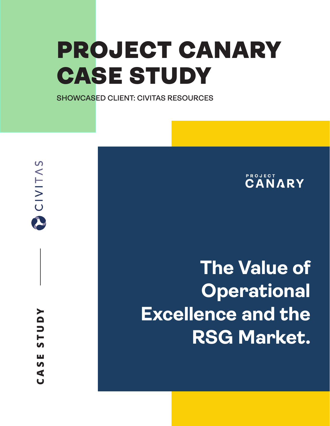# PROJECT CANARY CASE STUDY

**SHOWCASED CLIENT: CIVITAS RESOURCES**

**CANARY** 

# **The Value of Operational Excellence and the RSG Market.**

Ш  $\mathbf{v}$  $\blacktriangleleft$  $\overline{\mathbf{u}}$ 

CIVITAS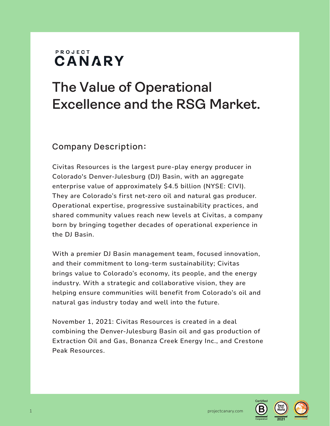#### PROJECT CANARY

## **The Value of Operational Excellence and the RSG Market.**

#### Company Description:

Civitas Resources is the largest pure-play energy producer in Colorado's Denver-Julesburg (DJ) Basin, with an aggregate enterprise value of approximately \$4.5 billion (NYSE: CIVI). They are Colorado's first net-zero oil and natural gas producer. Operational expertise, progressive sustainability practices, and shared community values reach new levels at Civitas, a company born by bringing together decades of operational experience in the DJ Basin.

With a premier DJ Basin management team, focused innovation, and their commitment to long-term sustainability; Civitas brings value to Colorado's economy, its people, and the energy industry. With a strategic and collaborative vision, they are helping ensure communities will benefit from Colorado's oil and natural gas industry today and well into the future.

November 1, 2021: Civitas Resources is created in a deal combining the Denver-Julesburg Basin oil and gas production of Extraction Oil and Gas, Bonanza Creek Energy Inc., and Crestone Peak Resources.

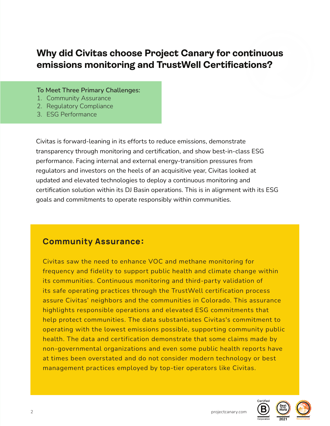### **Why did Civitas choose Project Canary for continuous emissions monitoring and TrustWell Certifications?**

To Meet Three Primary Challenges:

- 1. Community Assurance
- 2. Regulatory Compliance
- 3. ESG Performance

Civitas is forward-leaning in its efforts to reduce emissions, demonstrate transparency through monitoring and certification, and show best-in-class ESG performance. Facing internal and external energy-transition pressures from regulators and investors on the heels of an acquisitive year, Civitas looked at updated and elevated technologies to deploy a continuous monitoring and certification solution within its DJ Basin operations. This is in alignment with its ESG goals and commitments to operate responsibly within communities.

#### Community Assurance:

Civitas saw the need to enhance VOC and methane monitoring for frequency and fidelity to support public health and climate change within its communities. Continuous monitoring and third-party validation of its safe operating practices through the TrustWell certification process assure Civitas' neighbors and the communities in Colorado. This assurance highlights responsible operations and elevated ESG commitments that help protect communities. The data substantiates Civitas's commitment to operating with the lowest emissions possible, supporting community public health. The data and certification demonstrate that some claims made by non-governmental organizations and even some public health reports have at times been overstated and do not consider modern technology or best management practices employed by top-tier operators like Civitas.



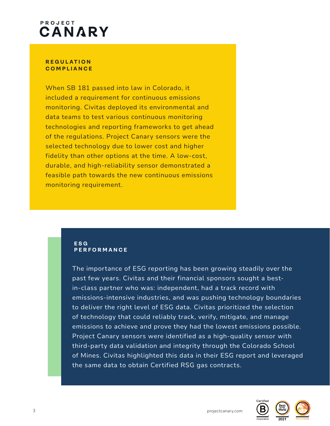## PROJECT CANARY

#### **R E G U L A T I O N COMPLIANCE**

When SB 181 passed into law in Colorado, it included a requirement for continuous emissions monitoring. Civitas deployed its environmental and data teams to test various continuous monitoring technologies and reporting frameworks to get ahead of the regulations. Project Canary sensors were the selected technology due to lower cost and higher fidelity than other options at the time. A low-cost, durable, and high-reliability sensor demonstrated a feasible path towards the new continuous emissions monitoring requirement.

#### **ESG PERFORMANCE**

The importance of ESG reporting has been growing steadily over the past few years. Civitas and their financial sponsors sought a bestin-class partner who was: independent, had a track record with emissions-intensive industries, and was pushing technology boundaries to deliver the right level of ESG data. Civitas prioritized the selection of technology that could reliably track, verify, mitigate, and manage emissions to achieve and prove they had the lowest emissions possible. Project Canary sensors were identified as a high-quality sensor with third-party data validation and integrity through the Colorado School of Mines. Civitas highlighted this data in their ESG report and leveraged the same data to obtain Certified RSG gas contracts.

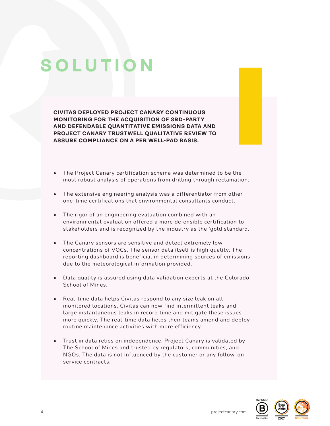# **SOLUTION**

**CIVITAS DEPLOYED PROJECT CANARY CONTINUOUS MONITORING FOR THE ACQUISITION OF 3RD-PARTY AND DEFENDABLE QUANTITATIVE EMISSIONS DATA AND PROJECT CANARY TRUSTWELL QUALITATIVE REVIEW TO ASSURE COMPLIANCE ON A PER WELL-PAD BASIS.**

- The Project Canary certification schema was determined to be the most robust analysis of operations from drilling through reclamation.
- The extensive engineering analysis was a differentiator from other one-time certifications that environmental consultants conduct.
- The rigor of an engineering evaluation combined with an environmental evaluation offered a more defensible certification to stakeholders and is recognized by the industry as the 'gold standard.
- The Canary sensors are sensitive and detect extremely low concentrations of VOCs. The sensor data itself is high quality. The reporting dashboard is beneficial in determining sources of emissions due to the meteorological information provided.
- Data quality is assured using data validation experts at the Colorado School of Mines.
- Real-time data helps Civitas respond to any size leak on all monitored locations. Civitas can now find intermittent leaks and large instantaneous leaks in record time and mitigate these issues more quickly. The real-time data helps their teams amend and deploy routine maintenance activities with more efficiency.
- Trust in data relies on independence. Project Canary is validated by The School of Mines and trusted by regulators, communities, and NGOs. The data is not influenced by the customer or any follow-on service contracts.